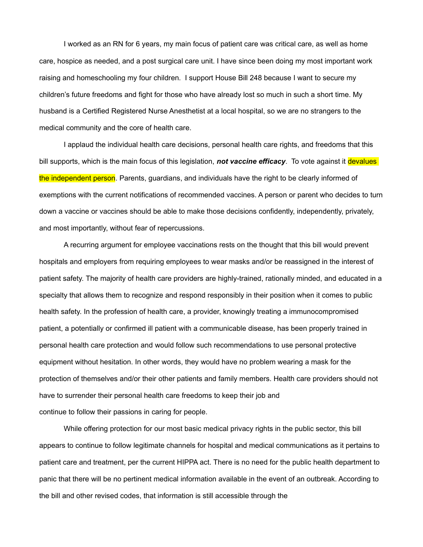I worked as an RN for 6 years, my main focus of patient care was critical care, as well as home care, hospice as needed, and a post surgical care unit. I have since been doing my most important work raising and homeschooling my four children. I support House Bill 248 because I want to secure my children's future freedoms and fight for those who have already lost so much in such a short time. My husband is a Certified Registered Nurse Anesthetist at a local hospital, so we are no strangers to the medical community and the core of health care.

I applaud the individual health care decisions, personal health care rights, and freedoms that this bill supports, which is the main focus of this legislation, *not vaccine efficacy*. To vote against it devalues the independent person. Parents, guardians, and individuals have the right to be clearly informed of exemptions with the current notifications of recommended vaccines. A person or parent who decides to turn down a vaccine or vaccines should be able to make those decisions confidently, independently, privately, and most importantly, without fear of repercussions.

A recurring argument for employee vaccinations rests on the thought that this bill would prevent hospitals and employers from requiring employees to wear masks and/or be reassigned in the interest of patient safety. The majority of health care providers are highly-trained, rationally minded, and educated in a specialty that allows them to recognize and respond responsibly in their position when it comes to public health safety. In the profession of health care, a provider, knowingly treating a immunocompromised patient, a potentially or confirmed ill patient with a communicable disease, has been properly trained in personal health care protection and would follow such recommendations to use personal protective equipment without hesitation. In other words, they would have no problem wearing a mask for the protection of themselves and/or their other patients and family members. Health care providers should not have to surrender their personal health care freedoms to keep their job and continue to follow their passions in caring for people.

While offering protection for our most basic medical privacy rights in the public sector, this bill appears to continue to follow legitimate channels for hospital and medical communications as it pertains to patient care and treatment, per the current HIPPA act. There is no need for the public health department to panic that there will be no pertinent medical information available in the event of an outbreak. According to the bill and other revised codes, that information is still accessible through the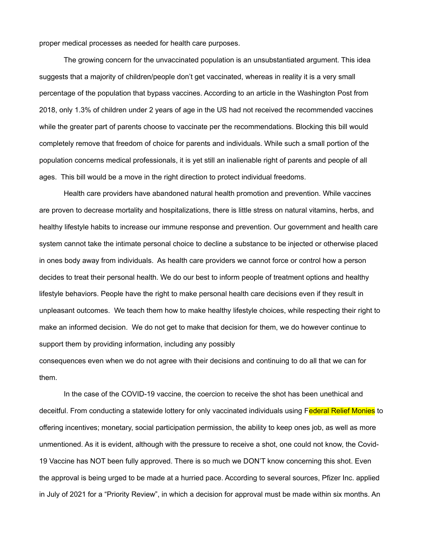proper medical processes as needed for health care purposes.

The growing concern for the unvaccinated population is an unsubstantiated argument. This idea suggests that a majority of children/people don't get vaccinated, whereas in reality it is a very small percentage of the population that bypass vaccines. According to an article in the Washington Post from 2018, only 1.3% of children under 2 years of age in the US had not received the recommended vaccines while the greater part of parents choose to vaccinate per the recommendations. Blocking this bill would completely remove that freedom of choice for parents and individuals. While such a small portion of the population concerns medical professionals, it is yet still an inalienable right of parents and people of all ages. This bill would be a move in the right direction to protect individual freedoms.

Health care providers have abandoned natural health promotion and prevention. While vaccines are proven to decrease mortality and hospitalizations, there is little stress on natural vitamins, herbs, and healthy lifestyle habits to increase our immune response and prevention. Our government and health care system cannot take the intimate personal choice to decline a substance to be injected or otherwise placed in ones body away from individuals. As health care providers we cannot force or control how a person decides to treat their personal health. We do our best to inform people of treatment options and healthy lifestyle behaviors. People have the right to make personal health care decisions even if they result in unpleasant outcomes. We teach them how to make healthy lifestyle choices, while respecting their right to make an informed decision. We do not get to make that decision for them, we do however continue to support them by providing information, including any possibly

consequences even when we do not agree with their decisions and continuing to do all that we can for them.

In the case of the COVID-19 vaccine, the coercion to receive the shot has been unethical and deceitful. From conducting a statewide lottery for only vaccinated individuals using Federal Relief Monies to offering incentives; monetary, social participation permission, the ability to keep ones job, as well as more unmentioned. As it is evident, although with the pressure to receive a shot, one could not know, the Covid-19 Vaccine has NOT been fully approved. There is so much we DON'T know concerning this shot. Even the approval is being urged to be made at a hurried pace. According to several sources, Pfizer Inc. applied in July of 2021 for a "Priority Review", in which a decision for approval must be made within six months. An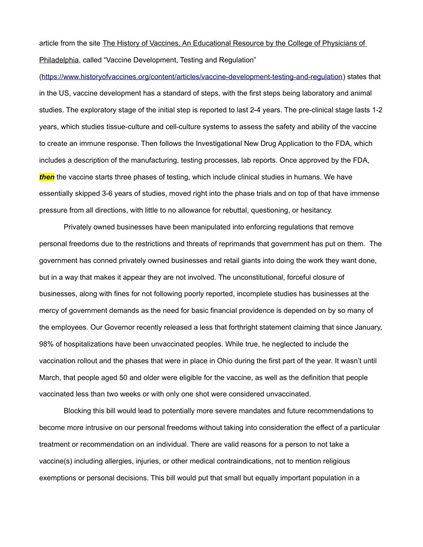article from the site The History of Vaccines, An Educational Resource by the College of Physicians of Philadelphia, called "Vaccine Development, Testing and Regulation"

[\(https://www.historyofvaccines.org/content/articles/vaccine-development-testing-and-regulation](https://www.historyofvaccines.org/content/articles/vaccine-development-testing-and-regulation)) states that in the US, vaccine development has a standard of steps, with the first steps being laboratory and animal studies. The exploratory stage of the initial step is reported to last 2-4 years. The pre-clinical stage lasts 1-2 years, which studies tissue-culture and cell-culture systems to assess the safety and ability of the vaccine to create an immune response. Then follows the Investigational New Drug Application to the FDA, which includes a description of the manufacturing, testing processes, lab reports. Once approved by the FDA, *then* the vaccine starts three phases of testing, which include clinical studies in humans. We have essentially skipped 3-6 years of studies, moved right into the phase trials and on top of that have immense pressure from all directions, with little to no allowance for rebuttal, questioning, or hesitancy.

Privately owned businesses have been manipulated into enforcing regulations that remove personal freedoms due to the restrictions and threats of reprimands that government has put on them. The government has conned privately owned businesses and retail giants into doing the work they want done, but in a way that makes it appear they are not involved. The unconstitutional, forceful closure of businesses, along with fines for not following poorly reported, incomplete studies has businesses at the mercy of government demands as the need for basic financial providence is depended on by so many of the employees. Our Governor recently released a less that forthright statement claiming that since January, 98% of hospitalizations have been unvaccinated peoples. While true, he neglected to include the vaccination rollout and the phases that were in place in Ohio during the first part of the year. It wasn't until March, that people aged 50 and older were eligible for the vaccine, as well as the definition that people vaccinated less than two weeks or with only one shot were considered unvaccinated.

Blocking this bill would lead to potentially more severe mandates and future recommendations to become more intrusive on our personal freedoms without taking into consideration the effect of a particular treatment or recommendation on an individual. There are valid reasons for a person to not take a vaccine(s) including allergies, injuries, or other medical contraindications, not to mention religious exemptions or personal decisions. This bill would put that small but equally important population in a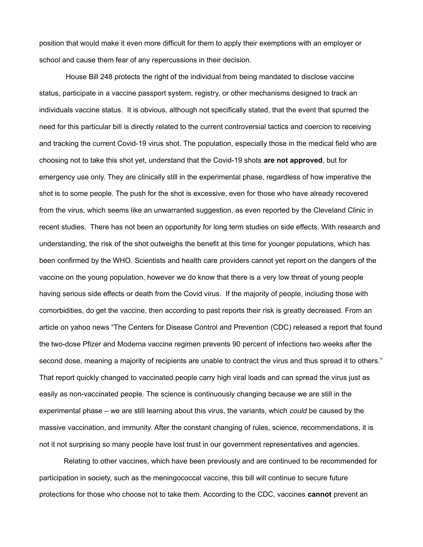position that would make it even more difficult for them to apply their exemptions with an employer or school and cause them fear of any repercussions in their decision.

 House Bill 248 protects the right of the individual from being mandated to disclose vaccine status, participate in a vaccine passport system, registry, or other mechanisms designed to track an individuals vaccine status. It is obvious, although not specifically stated, that the event that spurred the need for this particular bill is directly related to the current controversial tactics and coercion to receiving and tracking the current Covid-19 virus shot. The population, especially those in the medical field who are choosing not to take this shot yet, understand that the Covid-19 shots **are not approved**, but for emergency use only. They are clinically still in the experimental phase, regardless of how imperative the shot is to some people. The push for the shot is excessive, even for those who have already recovered from the virus, which seems like an unwarranted suggestion, as even reported by the Cleveland Clinic in recent studies. There has not been an opportunity for long term studies on side effects. With research and understanding, the risk of the shot outweighs the benefit at this time for younger populations, which has been confirmed by the WHO. Scientists and health care providers cannot yet report on the dangers of the vaccine on the young population, however we do know that there is a very low threat of young people having serious side effects or death from the Covid virus. If the majority of people, including those with comorbidities, do get the vaccine, then according to past reports their risk is greatly decreased. From an article on yahoo news "The Centers for Disease Control and Prevention (CDC) released a report that found the two-dose Pfizer and Moderna vaccine regimen prevents 90 percent of infections two weeks after the second dose, meaning a majority of recipients are unable to contract the virus and thus spread it to others." That report quickly changed to vaccinated people carry high viral loads and can spread the virus just as easily as non-vaccinated people. The science is continuously changing because we are still in the experimental phase – we are still learning about this virus, the variants, which *could* be caused by the massive vaccination, and immunity. After the constant changing of rules, science, recommendations, it is not it not surprising so many people have lost trust in our government representatives and agencies.

Relating to other vaccines, which have been previously and are continued to be recommended for participation in society, such as the meningococcal vaccine, this bill will continue to secure future protections for those who choose not to take them. According to the CDC, vaccines **cannot** prevent an